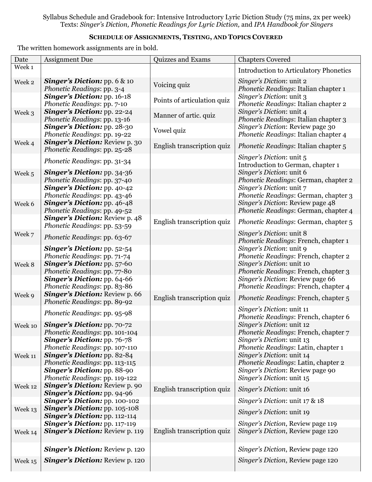Syllabus Schedule and Gradebook for: Intensive Introductory Lyric Diction Study (75 mins, 2x per week) Texts: *Singer's Diction, Phonetic Readings for Lyric Diction,* and *IPA Handbook for Singers*

## **SCHEDULE OF ASSIGNMENTS, TESTING, AND TOPICS COVERED**

The written homework assignments are in bold.

| Date    | <b>Assignment Due</b>                                                                                                                        | Quizzes and Exams           | <b>Chapters Covered</b>                                                                                                              |
|---------|----------------------------------------------------------------------------------------------------------------------------------------------|-----------------------------|--------------------------------------------------------------------------------------------------------------------------------------|
| Week 1  |                                                                                                                                              |                             | <b>Introduction to Articulatory Phonetics</b>                                                                                        |
| Week 2  | <b>Singer's Diction:</b> pp. $6 \& 10$<br>Phonetic Readings: pp. 3-4                                                                         | Voicing quiz                | Singer's Diction: unit 2<br>Phonetic Readings: Italian chapter 1                                                                     |
|         | <b>Singer's Diction: pp. 16-18</b><br>Phonetic Readings: pp. 7-10                                                                            | Points of articulation quiz | Singer's Diction: unit 3<br>Phonetic Readings: Italian chapter 2                                                                     |
| Week 3  | <b>Singer's Diction: pp. 22-24</b><br>Phonetic Readings: pp. 13-16                                                                           | Manner of artic. quiz       | Singer's Diction: unit 4<br>Phonetic Readings: Italian chapter 3                                                                     |
|         | <b>Singer's Diction: pp. 28-30</b><br>Phonetic Readings: pp. 19-22                                                                           | Vowel quiz                  | Singer's Diction: Review page 30<br>Phonetic Readings: Italian chapter 4                                                             |
| Week 4  | <b>Singer's Diction: Review p. 30</b><br>Phonetic Readings: pp. 25-28                                                                        | English transcription quiz  | <i>Phonetic Readings: Italian chapter 5</i>                                                                                          |
|         | Phonetic Readings: pp. 31-34                                                                                                                 |                             | Singer's Diction: unit 5<br>Introduction to German, chapter 1                                                                        |
| Week 5  | <b>Singer's Diction: pp. 34-36</b><br>Phonetic Readings: pp. 37-40<br><b>Singer's Diction: pp. 40-42</b><br>Phonetic Readings: pp. 43-46     |                             | Singer's Diction: unit 6<br>Phonetic Readings: German, chapter 2<br>Singer's Diction: unit 7<br>Phonetic Readings: German, chapter 3 |
| Week 6  | <b>Singer's Diction: pp. 46-48</b><br>Phonetic Readings: pp. 49-52                                                                           |                             | Singer's Diction: Review page 48<br>Phonetic Readings: German, chapter 4                                                             |
|         | <b>Singer's Diction: Review p. 48</b><br>Phonetic Readings: pp. 53-59                                                                        | English transcription quiz  | Phonetic Readings: German, chapter 5                                                                                                 |
| Week 7  | Phonetic Readings: pp. 63-67                                                                                                                 |                             | <i>Singer's Diction:</i> unit 8<br>Phonetic Readings: French, chapter 1                                                              |
|         | <b>Singer's Diction:</b> pp. 52-54<br>Phonetic Readings: pp. 71-74                                                                           |                             | Singer's Diction: unit 9<br>Phonetic Readings: French, chapter 2                                                                     |
| Week 8  | Singer's Diction: pp. 57-60<br>Phonetic Readings: pp. 77-80                                                                                  |                             | Singer's Diction: unit 10<br>Phonetic Readings: French, chapter 3                                                                    |
|         | <b>Singer's Diction: pp. 64-66</b><br>Phonetic Readings: pp. 83-86                                                                           |                             | Singer's Diction: Review page 66<br>Phonetic Readings: French, chapter 4                                                             |
| Week 9  | <b>Singer's Diction: Review p. 66</b><br>Phonetic Readings: pp. 89-92                                                                        | English transcription quiz  | Phonetic Readings: French, chapter 5                                                                                                 |
|         | Phonetic Readings: pp. 95-98                                                                                                                 |                             | Singer's Diction: unit 11<br>Phonetic Readings: French, chapter 6                                                                    |
| Week 10 | Singer's Diction: pp. 70-72<br>Phonetic Readings: pp. 101-104                                                                                |                             | Singer's Diction: unit 12<br>Phonetic Readings: French, chapter 7                                                                    |
|         | <b>Singer's Diction:</b> pp. 76-78<br>Phonetic Readings: pp. 107-110                                                                         |                             | Singer's Diction: unit 13<br>Phonetic Readings: Latin, chapter 1                                                                     |
| Week 11 | <b>Singer's Diction: pp. 82-84</b><br>Phonetic Readings: pp. 113-115<br><b>Singer's Diction: pp. 88-90</b><br>Phonetic Readings: pp. 119-122 |                             | Singer's Diction: unit 14<br>Phonetic Readings: Latin, chapter 2<br>Singer's Diction: Review page 90<br>Singer's Diction: unit 15    |
| Week 12 | <b>Singer's Diction: Review p. 90</b><br>Singer's Diction: pp. 94-96                                                                         | English transcription quiz  | Singer's Diction: unit 16                                                                                                            |
|         | Singer's Diction: pp. 100-102                                                                                                                |                             | Singer's Diction: unit 17 & 18                                                                                                       |
| Week 13 | Singer's Diction: pp. 105-108<br><b>Singer's Diction: pp. 112-114</b>                                                                        |                             | <i>Singer's Diction:</i> unit 19                                                                                                     |
|         | Singer's Diction: pp. 117-119                                                                                                                |                             | Singer's Diction, Review page 119                                                                                                    |
| Week 14 | <b>Singer's Diction: Review p. 119</b>                                                                                                       | English transcription quiz  | Singer's Diction, Review page 120                                                                                                    |
|         | <b>Singer's Diction: Review p. 120</b>                                                                                                       |                             | Singer's Diction, Review page 120                                                                                                    |
| Week 15 | <b>Singer's Diction: Review p. 120</b>                                                                                                       |                             | Singer's Diction, Review page 120                                                                                                    |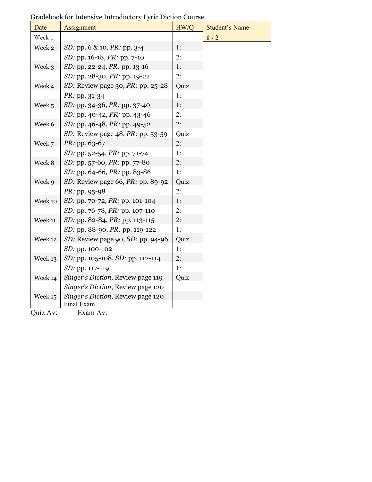| Date    | Assignment                                      | HW/Q | <b>Student's Name</b> |
|---------|-------------------------------------------------|------|-----------------------|
| Week 1  |                                                 |      | $1 - 2$               |
| Week 2  | <i>SD</i> : pp. 6 & 10, <i>PR</i> : pp. 3-4     | 1:   |                       |
|         | <i>SD</i> : pp. 16-18, <i>PR</i> : pp. 7-10     | 2:   |                       |
| Week 3  | <i>SD</i> : pp. 22-24, <i>PR</i> : pp. 13-16    | 1:   |                       |
|         | SD: pp. 28-30, PR: pp. 19-22                    | 2:   |                       |
| Week 4  | SD: Review page 30, PR: pp. 25-28               | Quiz |                       |
|         | PR: pp. 31-34                                   | 1:   |                       |
| Week 5  | SD: pp. 34-36, PR: pp. 37-40                    | 1:   |                       |
|         | <i>SD</i> : pp. 40-42, <i>PR</i> : pp. 43-46    | 2:   |                       |
| Week 6  | <i>SD</i> : pp. 46-48, <i>PR</i> : pp. 49-52    | 2:   |                       |
|         | SD: Review page 48, PR: pp. 53-59               | Quiz |                       |
| Week 7  | PR: pp. 63-67                                   | 2:   |                       |
|         | SD: pp. 52-54, PR: pp. 71-74                    | 1:   |                       |
| Week 8  | SD: pp. 57-60, PR: pp. 77-80                    | 2:   |                       |
|         | SD: pp. 64-66, PR: pp. 83-86                    | 1:   |                       |
| Week 9  | SD: Review page 66, $PR$ : pp. 89-92            | Quiz |                       |
|         | PR: pp. 95-98                                   | 2:   |                       |
| Week 10 | SD: pp. 70-72, PR: pp. 101-104                  | 1:   |                       |
|         | SD: pp. 76-78, PR: pp. 107-110                  | 2:   |                       |
| Week 11 | SD: pp. 82-84, PR: pp. 113-115                  | 2:   |                       |
|         | <i>SD</i> : pp. 88-90, <i>PR</i> : pp. 119-122  | 1:   |                       |
| Week 12 | SD: Review page 90, SD: pp. 94-96               | Quiz |                       |
|         | SD: pp. 100-102                                 | 1:   |                       |
| Week 13 | SD: pp. 105-108, SD: pp. 112-114                | 2:   |                       |
|         | SD: pp. 117-119                                 | 1:   |                       |
| Week 14 | Singer's Diction, Review page 119               | Quiz |                       |
|         | Singer's Diction, Review page 120               |      |                       |
| Week 15 | Singer's Diction, Review page 120<br>Final Exam |      |                       |

Gradebook for Intensive Introductory Lyric Diction Course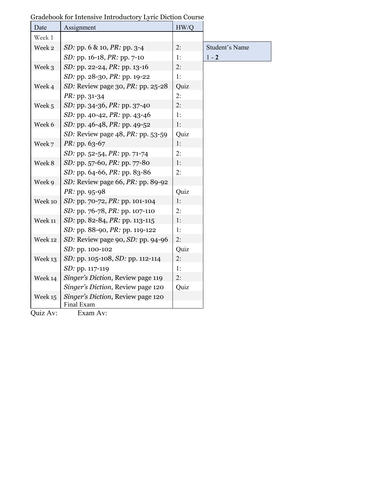| Date    | Assignment                                      | HW/Q |                       |
|---------|-------------------------------------------------|------|-----------------------|
| Week 1  |                                                 |      |                       |
| Week 2  | <i>SD</i> : pp. 6 & 10, <i>PR</i> : pp. 3-4     | 2:   | <b>Student's Name</b> |
|         | <i>SD</i> : pp. 16-18, <i>PR</i> : pp. 7-10     | 1:   | $1 - 2$               |
| Week 3  | SD: pp. 22-24, PR: pp. 13-16                    | 2:   |                       |
|         | SD: pp. 28-30, PR: pp. 19-22                    | 1:   |                       |
| Week 4  | SD: Review page 30, $PR$ : pp. 25-28            | Quiz |                       |
|         | PR: pp. 31-34                                   | 2:   |                       |
| Week 5  | <i>SD</i> : pp. 34-36, <i>PR</i> : pp. 37-40    | 2:   |                       |
|         | SD: pp. 40-42, PR: pp. 43-46                    | 1:   |                       |
| Week 6  | SD: pp. 46-48, PR: pp. 49-52                    | 1:   |                       |
|         | SD: Review page $48$ , PR: pp. 53-59            | Quiz |                       |
| Week 7  | $PR:$ pp. 63-67                                 | 1:   |                       |
|         | SD: pp. 52-54, PR: pp. 71-74                    | 2:   |                       |
| Week 8  | <i>SD</i> : pp. 57-60, <i>PR</i> : pp. 77-80    | 1:   |                       |
|         | SD: pp. 64-66, PR: pp. 83-86                    | 2:   |                       |
| Week 9  | SD: Review page 66, PR: pp. 89-92               |      |                       |
|         | PR: pp. 95-98                                   | Quiz |                       |
| Week 10 | <i>SD</i> : pp. 70-72, <i>PR</i> : pp. 101-104  | 1:   |                       |
|         | SD: pp. 76-78, PR: pp. 107-110                  | 2:   |                       |
| Week 11 | SD: pp. 82-84, PR: pp. 113-115                  | 1:   |                       |
|         | <i>SD</i> : pp. 88-90, <i>PR</i> : pp. 119-122  | 1:   |                       |
| Week 12 | SD: Review page 90, SD: pp. 94-96               | 2:   |                       |
|         | SD: pp. 100-102                                 | Quiz |                       |
| Week 13 | SD: pp. 105-108, SD: pp. 112-114                | 2:   |                       |
|         | SD: pp. 117-119                                 | 1:   |                       |
| Week 14 | Singer's Diction, Review page 119               | 2:   |                       |
|         | Singer's Diction, Review page 120               | Quiz |                       |
| Week 15 | Singer's Diction, Review page 120<br>Final Exam |      |                       |

Gradebook for Intensive Introductory Lyric Diction Course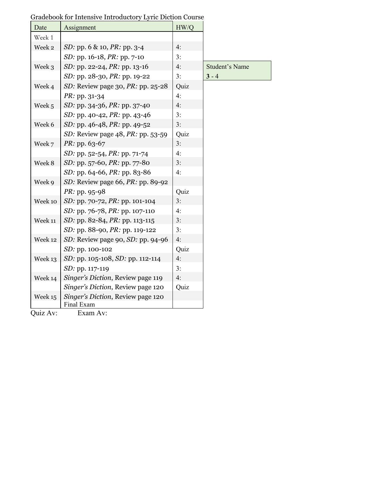| Date    | Assignment                                      | HW/Q |                       |
|---------|-------------------------------------------------|------|-----------------------|
| Week 1  |                                                 |      |                       |
| Week 2  | SD: pp. 6 & 10, PR: pp. 3-4                     | 4:   |                       |
|         | <i>SD</i> : pp. 16-18, <i>PR</i> : pp. 7-10     | 3:   |                       |
| Week 3  | <i>SD</i> : pp. 22-24, <i>PR</i> : pp. 13-16    | 4:   | <b>Student's Name</b> |
|         | SD: pp. 28-30, PR: pp. 19-22                    | 3:   | $3 - 4$               |
| Week 4  | SD: Review page 30, $PR$ : pp. 25-28            | Quiz |                       |
|         | PR: pp. 31-34                                   | 4:   |                       |
| Week 5  | SD: pp. 34-36, PR: pp. 37-40                    | 4:   |                       |
|         | <i>SD</i> : pp. 40-42, <i>PR</i> : pp. 43-46    | 3:   |                       |
| Week 6  | SD: pp. 46-48, PR: pp. 49-52                    | 3:   |                       |
|         | SD: Review page 48, PR: pp. 53-59               | Quiz |                       |
| Week 7  | $PR:$ pp. 63-67                                 | 3:   |                       |
|         | <i>SD</i> : pp. 52-54, <i>PR</i> : pp. 71-74    | 4:   |                       |
| Week 8  | SD: pp. 57-60, PR: pp. 77-80                    | 3:   |                       |
|         | SD: pp. 64-66, PR: pp. 83-86                    | 4:   |                       |
| Week 9  | SD: Review page 66, PR: pp. 89-92               |      |                       |
|         | PR: pp. 95-98                                   | Quiz |                       |
| Week 10 | <i>SD</i> : pp. 70-72, <i>PR</i> : pp. 101-104  | 3:   |                       |
|         | <i>SD</i> : pp. 76-78, <i>PR</i> : pp. 107-110  | 4:   |                       |
| Week 11 | SD: pp. 82-84, PR: pp. 113-115                  | 3:   |                       |
|         | <i>SD</i> : pp. 88-90, <i>PR</i> : pp. 119-122  | 3:   |                       |
| Week 12 | SD: Review page 90, SD: pp. 94-96               | 4:   |                       |
|         | SD: pp. 100-102                                 | Quiz |                       |
| Week 13 | SD: pp. 105-108, SD: pp. 112-114                | 4:   |                       |
|         | SD: pp. 117-119                                 | 3:   |                       |
| Week 14 | Singer's Diction, Review page 119               | 4:   |                       |
|         | Singer's Diction, Review page 120               | Quiz |                       |
| Week 15 | Singer's Diction, Review page 120<br>Final Exam |      |                       |

Gradebook for Intensive Introductory Lyric Diction Course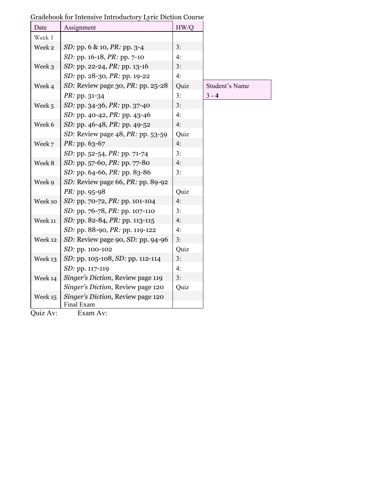| Date    | Assignment                                      | HW/Q |                       |
|---------|-------------------------------------------------|------|-----------------------|
| Week 1  |                                                 |      |                       |
| Week 2  | <i>SD</i> : pp. 6 & 10, <i>PR</i> : pp. 3-4     | 3:   |                       |
|         | <i>SD</i> : pp. 16-18, <i>PR</i> : pp. 7-10     | 4:   |                       |
| Week 3  | SD: pp. 22-24, PR: pp. 13-16                    | 3:   |                       |
|         | SD: pp. 28-30, PR: pp. 19-22                    | 4:   |                       |
| Week 4  | SD: Review page 30, $PR$ : pp. 25-28            | Quiz | <b>Student's Name</b> |
|         | <i>PR</i> : pp. 31-34                           | 3:   | $3 - 4$               |
| Week 5  | <i>SD</i> : pp. 34-36, <i>PR</i> : pp. 37-40    | 3:   |                       |
|         | SD: pp. 40-42, PR: pp. 43-46                    | 4:   |                       |
| Week 6  | SD: pp. 46-48, PR: pp. 49-52                    | 4:   |                       |
|         | SD: Review page 48, PR: pp. 53-59               | Quiz |                       |
| Week 7  | PR: pp. 63-67                                   | 4:   |                       |
|         | SD: pp. 52-54, PR: pp. 71-74                    | 3:   |                       |
| Week 8  | SD: pp. 57-60, PR: pp. 77-80                    | 4:   |                       |
|         | SD: pp. 64-66, PR: pp. 83-86                    | 3:   |                       |
| Week 9  | SD: Review page 66, $PR$ : pp. 89-92            |      |                       |
|         | PR: pp. 95-98                                   | Quiz |                       |
| Week 10 | <i>SD</i> : pp. 70-72, <i>PR</i> : pp. 101-104  | 4:   |                       |
|         | SD: pp. 76-78, PR: pp. 107-110                  | 3:   |                       |
| Week 11 | SD: pp. 82-84, PR: pp. 113-115                  | 4:   |                       |
|         | SD: pp. 88-90, PR: pp. 119-122                  | 4:   |                       |
| Week 12 | SD: Review page 90, SD: pp. 94-96               | 3:   |                       |
|         | SD: pp. 100-102                                 | Quiz |                       |
| Week 13 | SD: pp. 105-108, SD: pp. 112-114                | 3:   |                       |
|         | SD: pp. 117-119                                 | 4:   |                       |
| Week 14 | Singer's Diction, Review page 119               | 3:   |                       |
|         | Singer's Diction, Review page 120               | Quiz |                       |
| Week 15 | Singer's Diction, Review page 120<br>Final Exam |      |                       |

Gradebook for Intensive Introductory Lyric Diction Course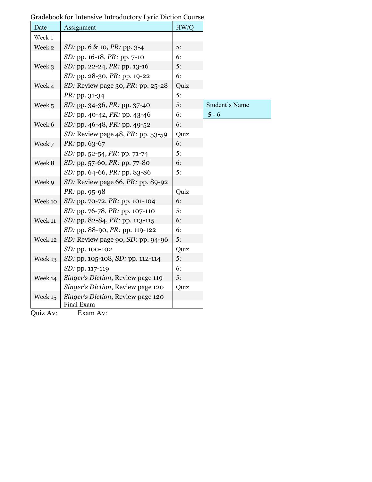| Date    | Assignment                                      | HW/Q |                       |
|---------|-------------------------------------------------|------|-----------------------|
| Week 1  |                                                 |      |                       |
| Week 2  | <i>SD</i> : pp. 6 & 10, <i>PR</i> : pp. 3-4     | 5:   |                       |
|         | SD: pp. 16-18, PR: pp. 7-10                     | 6:   |                       |
| Week 3  | <i>SD</i> : pp. 22-24, <i>PR</i> : pp. 13-16    | 5:   |                       |
|         | SD: pp. 28-30, PR: pp. 19-22                    | 6:   |                       |
| Week 4  | SD: Review page 30, $PR$ : pp. 25-28            | Quiz |                       |
|         | PR: pp. 31-34                                   | 5:   |                       |
| Week 5  | SD: pp. 34-36, PR: pp. 37-40                    | 5:   | <b>Student's Name</b> |
|         | SD: pp. 40-42, PR: pp. 43-46                    | 6:   | $5 - 6$               |
| Week 6  | SD: pp. 46-48, PR: pp. 49-52                    | 6:   |                       |
|         | SD: Review page 48, PR: pp. 53-59               | Quiz |                       |
| Week 7  | $PR:$ pp. 63-67                                 | 6:   |                       |
|         | SD: pp. 52-54, PR: pp. 71-74                    | 5:   |                       |
| Week 8  | <i>SD</i> : pp. 57-60, <i>PR</i> : pp. 77-80    | 6:   |                       |
|         | SD: pp. 64-66, PR: pp. 83-86                    | 5:   |                       |
| Week 9  | SD: Review page 66, $PR$ : pp. 89-92            |      |                       |
|         | PR: pp. 95-98                                   | Quiz |                       |
| Week 10 | <i>SD</i> : pp. 70-72, <i>PR</i> : pp. 101-104  | 6:   |                       |
|         | SD: pp. 76-78, PR: pp. 107-110                  | 5:   |                       |
| Week 11 | SD: pp. 82-84, PR: pp. 113-115                  | 6:   |                       |
|         | SD: pp. 88-90, PR: pp. 119-122                  | 6:   |                       |
| Week 12 | SD: Review page 90, SD: pp. 94-96               | 5:   |                       |
|         | SD: pp. 100-102                                 | Quiz |                       |
| Week 13 | SD: pp. 105-108, SD: pp. 112-114                | 5:   |                       |
|         | SD: pp. 117-119                                 | 6:   |                       |
| Week 14 | Singer's Diction, Review page 119               | 5:   |                       |
|         | Singer's Diction, Review page 120               | Quiz |                       |
| Week 15 | Singer's Diction, Review page 120<br>Final Exam |      |                       |

Gradebook for Intensive Introductory Lyric Diction Course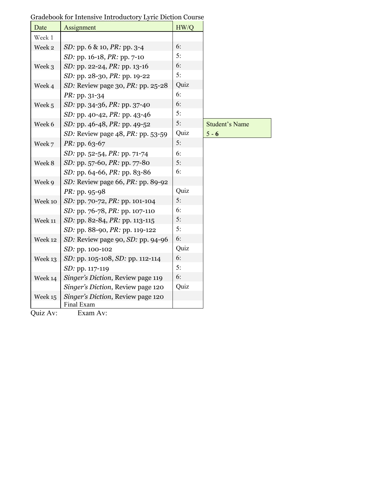| Date    | Assignment                                      | HW/Q |                       |
|---------|-------------------------------------------------|------|-----------------------|
| Week 1  |                                                 |      |                       |
| Week 2  | SD: pp. 6 & 10, PR: pp. 3-4                     | 6:   |                       |
|         | SD: pp. 16-18, PR: pp. 7-10                     | 5:   |                       |
| Week 3  | SD: pp. 22-24, PR: pp. 13-16                    | 6:   |                       |
|         | SD: pp. 28-30, PR: pp. 19-22                    | 5:   |                       |
| Week 4  | SD: Review page 30, PR: pp. 25-28               | Quiz |                       |
|         | PR: pp. 31-34                                   | 6:   |                       |
| Week 5  | <i>SD</i> : pp. 34-36, <i>PR</i> : pp. 37-40    | 6:   |                       |
|         | SD: pp. 40-42, PR: pp. 43-46                    | 5:   |                       |
| Week 6  | SD: pp. 46-48, PR: pp. 49-52                    | 5:   | <b>Student's Name</b> |
|         | SD: Review page 48, PR: pp. 53-59               | Quiz | $5 - 6$               |
| Week 7  | <i>PR</i> : pp. 63-67                           | 5:   |                       |
|         | SD: pp. 52-54, PR: pp. 71-74                    | 6:   |                       |
| Week 8  | SD: pp. 57-60, PR: pp. 77-80                    | 5:   |                       |
|         | SD: pp. 64-66, PR: pp. 83-86                    | 6:   |                       |
| Week 9  | SD: Review page 66, $PR$ : pp. 89-92            |      |                       |
|         | PR: pp. 95-98                                   | Quiz |                       |
| Week 10 | <i>SD</i> : pp. 70-72, <i>PR</i> : pp. 101-104  | 5:   |                       |
|         | SD: pp. 76-78, PR: pp. 107-110                  | 6:   |                       |
| Week 11 | SD: pp. 82-84, PR: pp. 113-115                  | 5:   |                       |
|         | SD: pp. 88-90, PR: pp. 119-122                  | 5:   |                       |
| Week 12 | SD: Review page 90, SD: pp. 94-96               | 6:   |                       |
|         | SD: pp. 100-102                                 | Quiz |                       |
| Week 13 | SD: pp. 105-108, SD: pp. 112-114                | 6:   |                       |
|         | SD: pp. 117-119                                 | 5:   |                       |
| Week 14 | Singer's Diction, Review page 119               | 6:   |                       |
|         | Singer's Diction, Review page 120               | Quiz |                       |
| Week 15 | Singer's Diction, Review page 120<br>Final Exam |      |                       |

Gradebook for Intensive Introductory Lyric Diction Course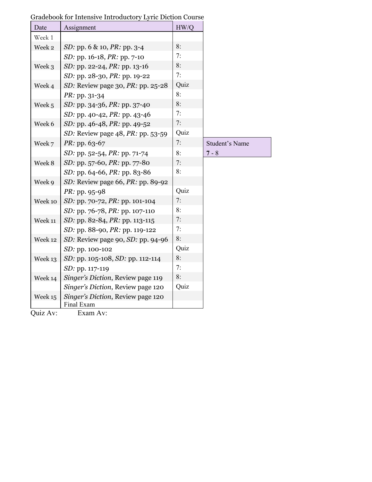| Date    | Assignment                                      | HW/Q |                       |
|---------|-------------------------------------------------|------|-----------------------|
| Week 1  |                                                 |      |                       |
| Week 2  | SD: pp. 6 & 10, PR: pp. 3-4                     | 8:   |                       |
|         | SD: pp. 16-18, PR: pp. 7-10                     | 7:   |                       |
| Week 3  | SD: pp. 22-24, PR: pp. 13-16                    | 8:   |                       |
|         | SD: pp. 28-30, PR: pp. 19-22                    | 7:   |                       |
| Week 4  | SD: Review page 30, $PR$ : pp. 25-28            | Quiz |                       |
|         | PR: pp. 31-34                                   | 8:   |                       |
| Week 5  | SD: pp. 34-36, PR: pp. 37-40                    | 8:   |                       |
|         | SD: pp. 40-42, PR: pp. 43-46                    | 7:   |                       |
| Week 6  | <i>SD</i> : pp. 46-48, <i>PR</i> : pp. 49-52    | 7:   |                       |
|         | SD: Review page $48$ , PR: pp. 53-59            | Quiz |                       |
| Week 7  | $PR:$ pp. 63-67                                 | 7:   | <b>Student's Name</b> |
|         | SD: pp. 52-54, PR: pp. 71-74                    | 8:   | $7 - 8$               |
| Week 8  | SD: pp. 57-60, PR: pp. 77-80                    | 7:   |                       |
|         | SD: pp. 64-66, PR: pp. 83-86                    | 8:   |                       |
| Week 9  | SD: Review page 66, PR: pp. 89-92               |      |                       |
|         | PR: pp. 95-98                                   | Quiz |                       |
| Week 10 | <i>SD</i> : pp. 70-72, <i>PR</i> : pp. 101-104  | 7:   |                       |
|         | SD: pp. 76-78, PR: pp. 107-110                  | 8:   |                       |
| Week 11 | SD: pp. 82-84, PR: pp. 113-115                  | 7:   |                       |
|         | SD: pp. 88-90, PR: pp. 119-122                  | 7:   |                       |
| Week 12 | SD: Review page 90, SD: pp. 94-96               | 8:   |                       |
|         | SD: pp. 100-102                                 | Quiz |                       |
| Week 13 | SD: pp. 105-108, SD: pp. 112-114                | 8:   |                       |
|         | SD: pp. 117-119                                 | 7:   |                       |
| Week 14 | Singer's Diction, Review page 119               | 8:   |                       |
|         | Singer's Diction, Review page 120               | Quiz |                       |
| Week 15 | Singer's Diction, Review page 120<br>Final Exam |      |                       |

| Gradebook for Intensive Introductory Lyric Diction Course |
|-----------------------------------------------------------|
|-----------------------------------------------------------|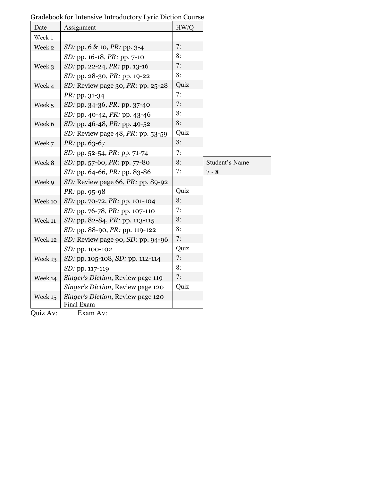| Date    | Assignment                                      | HW/Q |                       |
|---------|-------------------------------------------------|------|-----------------------|
| Week 1  |                                                 |      |                       |
| Week 2  | SD: pp. 6 & 10, PR: pp. 3-4                     | 7:   |                       |
|         | SD: pp. 16-18, PR: pp. 7-10                     | 8:   |                       |
| Week 3  | SD: pp. 22-24, PR: pp. 13-16                    | 7:   |                       |
|         | SD: pp. 28-30, PR: pp. 19-22                    | 8:   |                       |
| Week 4  | SD: Review page 30, PR: pp. 25-28               | Quiz |                       |
|         | PR: pp. 31-34                                   | 7:   |                       |
| Week 5  | <i>SD</i> : pp. 34-36, <i>PR</i> : pp. 37-40    | 7:   |                       |
|         | SD: pp. 40-42, PR: pp. 43-46                    | 8:   |                       |
| Week 6  | SD: pp. 46-48, PR: pp. 49-52                    | 8:   |                       |
|         | SD: Review page 48, PR: pp. 53-59               | Quiz |                       |
| Week 7  | $PR:$ pp. 63-67                                 | 8:   |                       |
|         | SD: pp. 52-54, PR: pp. 71-74                    | 7:   |                       |
| Week 8  | SD: pp. 57-60, PR: pp. 77-80                    | 8:   | <b>Student's Name</b> |
|         | SD: pp. 64-66, PR: pp. 83-86                    | 7:   | $7 - 8$               |
| Week 9  | SD: Review page 66, $PR$ : pp. 89-92            |      |                       |
|         | PR: pp. 95-98                                   | Quiz |                       |
| Week 10 | SD: pp. 70-72, PR: pp. 101-104                  | 8:   |                       |
|         | SD: pp. 76-78, PR: pp. 107-110                  | 7:   |                       |
| Week 11 | SD: pp. 82-84, PR: pp. 113-115                  | 8:   |                       |
|         | SD: pp. 88-90, PR: pp. 119-122                  | 8:   |                       |
| Week 12 | SD: Review page 90, SD: pp. 94-96               | 7:   |                       |
|         | SD: pp. 100-102                                 | Quiz |                       |
| Week 13 | SD: pp. 105-108, SD: pp. 112-114                | 7:   |                       |
|         | SD: pp. 117-119                                 | 8:   |                       |
| Week 14 | Singer's Diction, Review page 119               | 7:   |                       |
|         | Singer's Diction, Review page 120               | Quiz |                       |
| Week 15 | Singer's Diction, Review page 120<br>Final Exam |      |                       |

Gradebook for Intensive Introductory Lyric Diction Course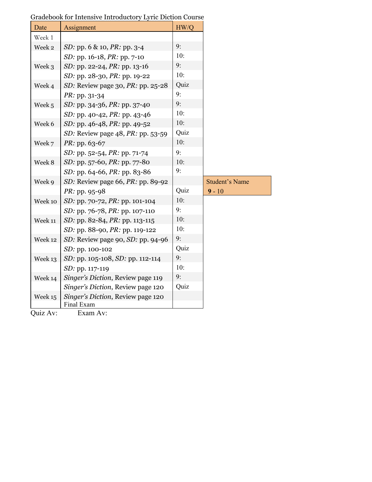| Date    | Assignment                                      | HW/Q |                       |
|---------|-------------------------------------------------|------|-----------------------|
| Week 1  |                                                 |      |                       |
| Week 2  | <i>SD</i> : pp. 6 & 10, <i>PR</i> : pp. 3-4     | 9:   |                       |
|         | SD: pp. 16-18, PR: pp. 7-10                     | 10:  |                       |
| Week 3  | <i>SD</i> : pp. 22-24, <i>PR</i> : pp. 13-16    | 9:   |                       |
|         | SD: pp. 28-30, PR: pp. 19-22                    | 10:  |                       |
| Week 4  | SD: Review page 30, PR: pp. 25-28               | Quiz |                       |
|         | PR: pp. 31-34                                   | 9:   |                       |
| Week 5  | <i>SD</i> : pp. 34-36, <i>PR</i> : pp. 37-40    | 9:   |                       |
|         | SD: pp. 40-42, PR: pp. 43-46                    | 10:  |                       |
| Week 6  | SD: pp. 46-48, PR: pp. 49-52                    | 10:  |                       |
|         | SD: Review page 48, PR: pp. 53-59               | Quiz |                       |
| Week 7  | PR: pp. 63-67                                   | 10:  |                       |
|         | SD: pp. $52-54$ , PR: pp. 71-74                 | 9:   |                       |
| Week 8  | <i>SD</i> : pp. 57-60, <i>PR</i> : pp. 77-80    | 10:  |                       |
|         | SD: pp. 64-66, PR: pp. 83-86                    | 9:   |                       |
| Week 9  | SD: Review page 66, $PR$ : pp. 89-92            |      | <b>Student's Name</b> |
|         | $PR:$ pp. 95-98                                 | Quiz | $9 - 10$              |
| Week 10 | SD: pp. 70-72, PR: pp. 101-104                  | 10:  |                       |
|         | SD: pp. 76-78, PR: pp. 107-110                  | 9:   |                       |
| Week 11 | SD: pp. 82-84, PR: pp. 113-115                  | 10:  |                       |
|         | SD: pp. 88-90, PR: pp. 119-122                  | 10:  |                       |
| Week 12 | SD: Review page 90, SD: pp. 94-96               | 9:   |                       |
|         | SD: pp. 100-102                                 | Quiz |                       |
| Week 13 | SD: pp. 105-108, SD: pp. 112-114                | 9:   |                       |
|         | SD: pp. 117-119                                 | 10:  |                       |
| Week 14 | Singer's Diction, Review page 119               | 9:   |                       |
|         | Singer's Diction, Review page 120               | Quiz |                       |
| Week 15 | Singer's Diction, Review page 120<br>Final Exam |      |                       |

Gradebook for Intensive Introductory Lyric Diction Course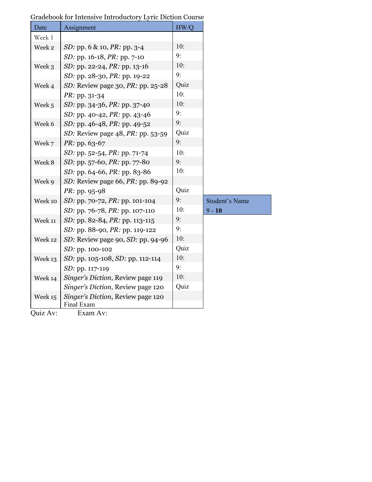| Date                                       | Assignment                                                            | HW/Q |                       |
|--------------------------------------------|-----------------------------------------------------------------------|------|-----------------------|
| Week 1                                     |                                                                       |      |                       |
| Week 2                                     | <i>SD</i> : pp. 6 & 10, <i>PR</i> : pp. 3-4                           | 10:  |                       |
|                                            | SD: pp. 16-18, PR: pp. 7-10                                           | 9:   |                       |
| Week 3                                     | SD: pp. 22-24, PR: pp. 13-16                                          | 10:  |                       |
|                                            | SD: pp. 28-30, PR: pp. 19-22                                          | 9:   |                       |
| Week 4                                     | SD: Review page 30, PR: pp. 25-28                                     | Quiz |                       |
|                                            | PR: pp. 31-34                                                         | 10:  |                       |
| Week 5                                     | <i>SD</i> : pp. 34-36, <i>PR</i> : pp. 37-40                          | 10:  |                       |
|                                            | SD: pp. 40-42, PR: pp. 43-46                                          | 9:   |                       |
| Week 6                                     | SD: pp. 46-48, PR: pp. 49-52                                          | 9:   |                       |
|                                            | SD: Review page $48$ , PR: pp. 53-59                                  | Quiz |                       |
| Week 7                                     | PR: pp. 63-67                                                         | 9:   |                       |
|                                            | <i>SD</i> : pp. 52-54, <i>PR</i> : pp. 71-74                          | 10:  |                       |
| Week 8                                     | SD: pp. 57-60, PR: pp. 77-80                                          | 9:   |                       |
|                                            | SD: pp. 64-66, PR: pp. 83-86                                          | 10:  |                       |
| Week 9                                     | SD: Review page 66, PR: pp. 89-92                                     |      |                       |
|                                            | <i>PR</i> : pp. 95-98                                                 | Quiz |                       |
| Week 10                                    | SD: pp. 70-72, PR: pp. 101-104                                        | 9:   | <b>Student's Name</b> |
|                                            | SD: pp. 76-78, PR: pp. 107-110                                        | 10:  | $9 - 10$              |
| Week 11                                    | SD: pp. 82-84, PR: pp. 113-115                                        | 9:   |                       |
|                                            | <i>SD</i> : pp. 88-90, <i>PR</i> : pp. 119-122                        | 9:   |                       |
| Week 12                                    | SD: Review page 90, SD: pp. 94-96                                     | 10:  |                       |
|                                            | SD: pp. 100-102                                                       | Quiz |                       |
| Week 13                                    | SD: pp. 105-108, SD: pp. 112-114                                      | 10:  |                       |
|                                            | SD: pp. 117-119                                                       | 9:   |                       |
| Week 14                                    | Singer's Diction, Review page 119                                     | 10:  |                       |
|                                            | Singer's Diction, Review page 120                                     | Quiz |                       |
| Week 15<br>$\bigcap_{x}$ : $\bigcup_{x} A$ | Singer's Diction, Review page 120<br>Final Exam<br>п.,<br>$\Lambda -$ |      |                       |

Gradebook for Intensive Introductory Lyric Diction Course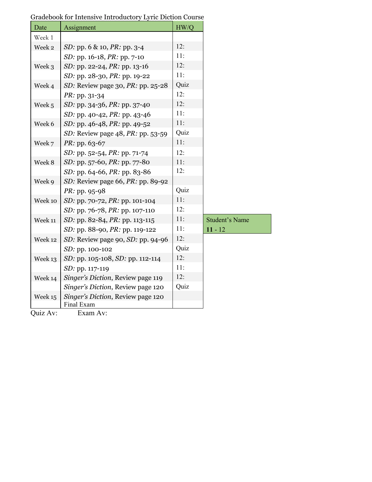| Date    | Assignment                                      | HW/Q |                       |
|---------|-------------------------------------------------|------|-----------------------|
| Week 1  |                                                 |      |                       |
| Week 2  | <i>SD</i> : pp. 6 & 10, <i>PR</i> : pp. 3-4     | 12:  |                       |
|         | <i>SD</i> : pp. 16-18, <i>PR</i> : pp. 7-10     | 11:  |                       |
| Week 3  | SD: pp. 22-24, PR: pp. 13-16                    | 12:  |                       |
|         | SD: pp. 28-30, PR: pp. 19-22                    | 11:  |                       |
| Week 4  | SD: Review page 30, $PR$ : pp. 25-28            | Quiz |                       |
|         | $PR: pp. 31-34$                                 | 12:  |                       |
| Week 5  | <i>SD</i> : pp. 34-36, <i>PR</i> : pp. 37-40    | 12:  |                       |
|         | SD: pp. 40-42, PR: pp. 43-46                    | 11:  |                       |
| Week 6  | <i>SD</i> : pp. 46-48, <i>PR</i> : pp. 49-52    | 11:  |                       |
|         | SD: Review page 48, PR: pp. 53-59               | Quiz |                       |
| Week 7  | $PR:$ pp. 63-67                                 | 11:  |                       |
|         | SD: pp. 52-54, PR: pp. 71-74                    | 12:  |                       |
| Week 8  | SD: pp. 57-60, PR: pp. 77-80                    | 11:  |                       |
|         | SD: pp. 64-66, PR: pp. 83-86                    | 12:  |                       |
| Week 9  | SD: Review page 66, $PR$ : pp. 89-92            |      |                       |
|         | PR: pp. 95-98                                   | Quiz |                       |
| Week 10 | SD: pp. 70-72, PR: pp. 101-104                  | 11:  |                       |
|         | SD: pp. 76-78, PR: pp. 107-110                  | 12:  |                       |
| Week 11 | SD: pp. 82-84, PR: pp. 113-115                  | 11:  | <b>Student's Name</b> |
|         | SD: pp. 88-90, PR: pp. 119-122                  | 11:  | $11 - 12$             |
| Week 12 | SD: Review page 90, SD: pp. 94-96               | 12:  |                       |
|         | SD: pp. 100-102                                 | Quiz |                       |
| Week 13 | SD: pp. 105-108, SD: pp. 112-114                | 12:  |                       |
|         | SD: pp. 117-119                                 | 11:  |                       |
| Week 14 | Singer's Diction, Review page 119               | 12:  |                       |
|         | Singer's Diction, Review page 120               | Quiz |                       |
| Week 15 | Singer's Diction, Review page 120<br>Final Exam |      |                       |

Gradebook for Intensive Introductory Lyric Diction Course